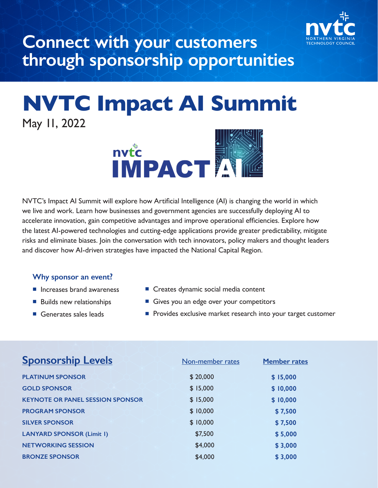

## **Connect with your customers through sponsorship opportunities**

# **NVTC Impact AI Summit**  May 11, 2022



NVTC's Impact AI Summit will explore how Artificial Intelligence (AI) is changing the world in which we live and work. Learn how businesses and government agencies are successfully deploying AI to accelerate innovation, gain competitive advantages and improve operational efficiencies. Explore how the latest AI-powered technologies and cutting-edge applications provide greater predictability, mitigate risks and eliminate biases. Join the conversation with tech innovators, policy makers and thought leaders and discover how AI-driven strategies have impacted the National Capital Region.

#### **Why sponsor an event?**

- $\blacksquare$  Increases brand awareness
- **Builds new relationships**
- $\blacksquare$  Generates sales leads
- Creates dynamic social media content
- Gives you an edge over your competitors
- **P** Provides exclusive market research into your target customer

| <b>Sponsorship Levels</b>               | Non-member rates | <b>Member rates</b> |
|-----------------------------------------|------------------|---------------------|
| <b>PLATINUM SPONSOR</b>                 | \$20,000         | \$15,000            |
| <b>GOLD SPONSOR</b>                     | \$15,000         | \$10,000            |
| <b>KEYNOTE OR PANEL SESSION SPONSOR</b> | \$15,000         | \$10,000            |
| <b>PROGRAM SPONSOR</b>                  | \$10,000         | \$7,500             |
| <b>SILVER SPONSOR</b>                   | \$10,000         | \$7,500             |
| <b>LANYARD SPONSOR (Limit I)</b>        | \$7,500          | \$5,000             |
| <b>NETWORKING SESSION</b>               | \$4,000          | \$3,000             |
| <b>BRONZE SPONSOR</b>                   | \$4,000          | \$3,000             |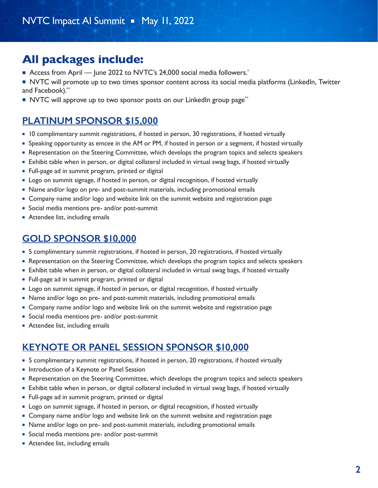### **All packages include:**

- Access from April June 2022 to NVTC's 24,000 social media followers.<sup>\*</sup>
- NVTC will promote up to two times sponsor content across its social media platforms (LinkedIn, Twitter and Facebook).\*\*
- NVTC will approve up to two sponsor posts on our LinkedIn group page<sup>\*\*</sup>

### **PLATINUM SPONSOR \$15,000**

- n10 complimentary summit registrations, if hosted in person, 30 registrations, if hosted virtually
- **Speaking opportunity as emcee in the AM or PM, if hosted in person or a segment, if hosted virtually**
- Representation on the Steering Committee, which develops the program topics and selects speakers
- **Exhibit table when in person, or digital collateral included in virtual swag bags, if hosted virtually**
- Full-page ad in summit program, printed or digital
- **Logo on summit signage, if hosted in person, or digital recognition, if hosted virtually**
- Name and/or logo on pre- and post-summit materials, including promotional emails
- Company name and/or logo and website link on the summit website and registration page
- Social media mentions pre- and/or post-summit
- **Attendee list, including emails**

#### **GOLD SPONSOR \$10,000**

- 5 complimentary summit registrations, if hosted in person, 20 registrations, if hosted virtually
- Representation on the Steering Committee, which develops the program topics and selects speakers
- **Exhibit table when in person, or digital collateral included in virtual swag bags, if hosted virtually**
- Full-page ad in summit program, printed or digital
- **Logo on summit signage, if hosted in person, or digital recognition, if hosted virtually**
- Name and/or logo on pre- and post-summit materials, including promotional emails
- **Company name and/or logo and website link on the summit website and registration page**
- Social media mentions pre- and/or post-summit
- **Attendee list, including emails**

#### **KEYNOTE OR PANEL SESSION SPONSOR \$10,000**

- 5 complimentary summit registrations, if hosted in person, 20 registrations, if hosted virtually
- nIntroduction of a Keynote or Panel Session
- Representation on the Steering Committee, which develops the program topics and selects speakers
- **Exhibit table when in person, or digital collateral included in virtual swag bags, if hosted virtually**
- Full-page ad in summit program, printed or digital
- **Logo on summit signage, if hosted in person, or digital recognition, if hosted virtually**
- **Company name and/or logo and website link on the summit website and registration page**
- Name and/or logo on pre- and post-summit materials, including promotional emails
- Social media mentions pre- and/or post-summit
- **Attendee list, including emails**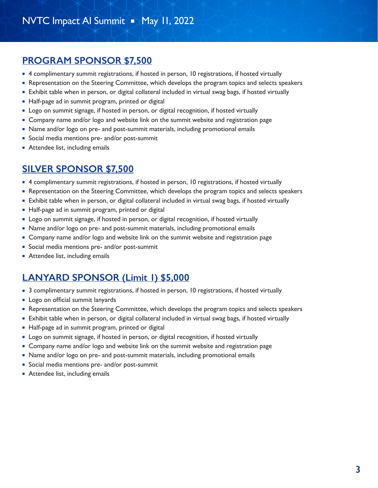#### **PROGRAM SPONSOR \$7,500**

- 4 complimentary summit registrations, if hosted in person, 10 registrations, if hosted virtually
- Representation on the Steering Committee, which develops the program topics and selects speakers
- **Exhibit table when in person, or digital collateral included in virtual swag bags, if hosted virtually**
- Half-page ad in summit program, printed or digital
- **Logo on summit signage, if hosted in person, or digital recognition, if hosted virtually**
- **Company name and/or logo and website link on the summit website and registration page**
- Name and/or logo on pre- and post-summit materials, including promotional emails
- Social media mentions pre- and/or post-summit
- **Attendee list, including emails**

#### **SILVER SPONSOR \$7,500**

- 4 complimentary summit registrations, if hosted in person, 10 registrations, if hosted virtually
- Representation on the Steering Committee, which develops the program topics and selects speakers
- **Exhibit table when in person, or digital collateral included in virtual swag bags, if hosted virtually**
- Half-page ad in summit program, printed or digital
- **-** Logo on summit signage, if hosted in person, or digital recognition, if hosted virtually
- Name and/or logo on pre- and post-summit materials, including promotional emails
- **Company name and/or logo and website link on the summit website and registration page**
- **Social media mentions pre- and/or post-summit**
- **Attendee list, including emails**

#### **LANYARD SPONSOR (Limit 1) \$5,000**

- n 3 complimentary summit registrations, if hosted in person, 10 registrations, if hosted virtually
- **Example 1** Logo on official summit lanyards
- Representation on the Steering Committee, which develops the program topics and selects speakers
- **Exhibit table when in person, or digital collateral included in virtual swag bags, if hosted virtually**
- Half-page ad in summit program, printed or digital
- **Logo on summit signage, if hosted in person, or digital recognition, if hosted virtually**
- Company name and/or logo and website link on the summit website and registration page
- Name and/or logo on pre- and post-summit materials, including promotional emails
- **Social media mentions pre- and/or post-summit**
- **Attendee list, including emails**